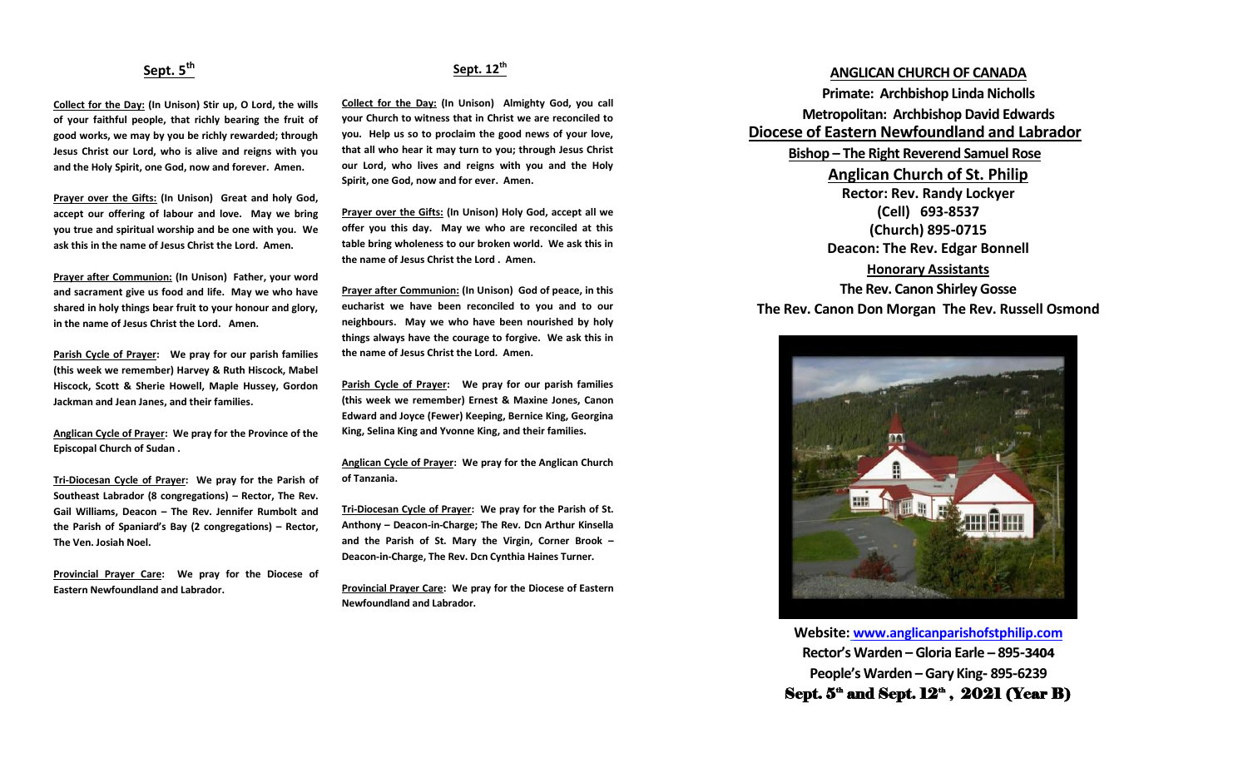## **Sept. 5th**

**Collect for the Day: (In Unison) Stir up, O Lord, the wills of your faithful people, that richly bearing the fruit of good works, we may by you be richly rewarded; through Jesus Christ our Lord, who is alive and reigns with you and the Holy Spirit, one God, now and forever. Amen.**

**Prayer over the Gifts: (In Unison) Great and holy God, accept our offering of labour and love. May we bring you true and spiritual worship and be one with you. We ask this in the name of Jesus Christ the Lord. Amen.**

**Prayer after Communion: (In Unison) Father, your word and sacrament give us food and life. May we who have shared in holy things bear fruit to your honour and glory, in the name of Jesus Christ the Lord. Amen.**

**Parish Cycle of Prayer: We pray for our parish families (this week we remember) Harvey & Ruth Hiscock, Mabel Hiscock, Scott & Sherie Howell, Maple Hussey, Gordon Jackman and Jean Janes, and their families.**

**Anglican Cycle of Prayer: We pray for the Province of the Episcopal Church of Sudan .**

**Tri-Diocesan Cycle of Prayer: We pray for the Parish of Southeast Labrador (8 congregations) – Rector, The Rev. Gail Williams, Deacon – The Rev. Jennifer Rumbolt and the Parish of Spaniard's Bay (2 congregations) – Rector, The Ven. Josiah Noel.**

**Provincial Prayer Care: We pray for the Diocese of Eastern Newfoundland and Labrador.**

### **Sept. 12th**

**Collect for the Day: (In Unison) Almighty God, you call your Church to witness that in Christ we are reconciled to you. Help us so to proclaim the good news of your love, that all who hear it may turn to you; through Jesus Christ our Lord, who lives and reigns with you and the Holy Spirit, one God, now and for ever. Amen.**

**Prayer over the Gifts: (In Unison) Holy God, accept all we offer you this day. May we who are reconciled at this table bring wholeness to our broken world. We ask this in the name of Jesus Christ the Lord . Amen.**

**Prayer after Communion: (In Unison) God of peace, in this eucharist we have been reconciled to you and to our neighbours. May we who have been nourished by holy things always have the courage to forgive. We ask this in the name of Jesus Christ the Lord. Amen.**

**Parish Cycle of Prayer: We pray for our parish families (this week we remember) Ernest & Maxine Jones, Canon Edward and Joyce (Fewer) Keeping, Bernice King, Georgina King, Selina King and Yvonne King, and their families.**

**Anglican Cycle of Prayer: We pray for the Anglican Church of Tanzania.**

**Tri-Diocesan Cycle of Prayer: We pray for the Parish of St. Anthony – Deacon-in-Charge; The Rev. Dcn Arthur Kinsella and the Parish of St. Mary the Virgin, Corner Brook – Deacon-in-Charge, The Rev. Dcn Cynthia Haines Turner.**

**Provincial Prayer Care: We pray for the Diocese of Eastern Newfoundland and Labrador.**

#### **ANGLICAN CHURCH OF CANADA**

**Primate: Archbishop Linda Nicholls Metropolitan: Archbishop David Edwards Diocese of Eastern Newfoundland and Labrador Bishop – The Right Reverend Samuel Rose Anglican Church of St. Philip Rector: Rev. Randy Lockyer (Cell) 693-8537 (Church) 895-0715 Deacon: The Rev. Edgar Bonnell Honorary Assistants**

**The Rev. Canon Shirley Gosse The Rev. Canon Don Morgan The Rev. Russell Osmond**



**Website: [www.anglicanparishofstphilip.com](http://www.anglicanparishofstphilip.com/) Rector's Warden – Gloria Earle – 895-3404 People's Warden – Gary King- 895-6239** Sept.  $5^{\omega}$  and Sept.  $12^{\omega}$  ,  $2021$  (Year B)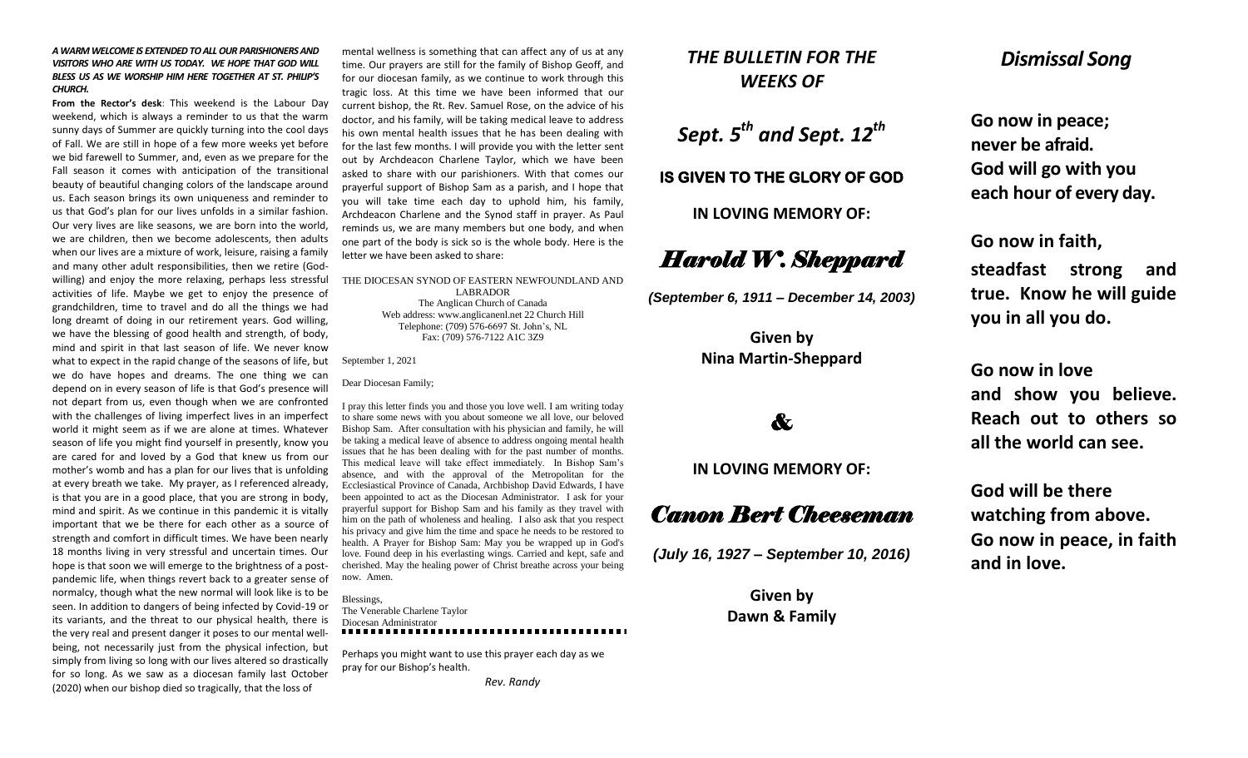#### *A WARM WELCOME IS EXTENDED TO ALL OUR PARISHIONERS AND VISITORS WHO ARE WITH US TODAY. WE HOPE THAT GOD WILL BLESS US AS WE WORSHIP HIM HERE TOGETHER AT ST. PHILIP'S CHURCH.*

**From the Rector's desk**: This weekend is the Labour Day weekend, which is always a reminder to us that the warm sunny days of Summer are quickly turning into the cool days of Fall. We are still in hope of a few more weeks yet before we bid farewell to Summer, and, even as we prepare for the Fall season it comes with anticipation of the transitional beauty of beautiful changing colors of the landscape around us. Each season brings its own uniqueness and reminder to us that God's plan for our lives unfolds in a similar fashion. Our very lives are like seasons, we are born into the world, we are children, then we become adolescents, then adults when our lives are a mixture of work, leisure, raising a family and many other adult responsibilities, then we retire (Godwilling) and enjoy the more relaxing, perhaps less stressful activities of life. Maybe we get to enjoy the presence of grandchildren, time to travel and do all the things we had long dreamt of doing in our retirement years. God willing, we have the blessing of good health and strength, of body, mind and spirit in that last season of life. We never know what to expect in the rapid change of the seasons of life, but we do have hopes and dreams. The one thing we can depend on in every season of life is that God's presence will not depart from us, even though when we are confronted with the challenges of living imperfect lives in an imperfect world it might seem as if we are alone at times. Whatever season of life you might find yourself in presently, know you are cared for and loved by a God that knew us from our mother's womb and has a plan for our lives that is unfolding at every breath we take. My prayer, as I referenced already, is that you are in a good place, that you are strong in body, mind and spirit. As we continue in this pandemic it is vitally important that we be there for each other as a source of strength and comfort in difficult times. We have been nearly 18 months living in very stressful and uncertain times. Our hope is that soon we will emerge to the brightness of a postpandemic life, when things revert back to a greater sense of normalcy, though what the new normal will look like is to be seen. In addition to dangers of being infected by Covid-19 or its variants, and the threat to our physical health, there is the very real and present danger it poses to our mental wellbeing, not necessarily just from the physical infection, but simply from living so long with our lives altered so drastically for so long. As we saw as a diocesan family last October (2020) when our bishop died so tragically, that the loss of

mental wellness is something that can affect any of us at any time. Our prayers are still for the family of Bishop Geoff, and for our diocesan family, as we continue to work through this tragic loss. At this time we have been informed that our current bishop, the Rt. Rev. Samuel Rose, on the advice of his doctor, and his family, will be taking medical leave to address his own mental health issues that he has been dealing with for the last few months. I will provide you with the letter sent out by Archdeacon Charlene Taylor, which we have been asked to share with our parishioners. With that comes our prayerful support of Bishop Sam as a parish, and I hope that you will take time each day to uphold him, his family, Archdeacon Charlene and the Synod staff in prayer. As Paul reminds us, we are many members but one body, and when one part of the body is sick so is the whole body. Here is the letter we have been asked to share:

THE DIOCESAN SYNOD OF EASTERN NEWFOUNDLAND AND LABRADOR The Anglican Church of Canada Web address: www.anglicanenl.net 22 Church Hill Telephone: (709) 576-6697 St. John's, NL Fax: (709) 576-7122 A1C 3Z9

September 1, 2021

Dear Diocesan Family;

I pray this letter finds you and those you love well. I am writing today to share some news with you about someone we all love, our beloved Bishop Sam. After consultation with his physician and family, he will be taking a medical leave of absence to address ongoing mental health issues that he has been dealing with for the past number of months. This medical leave will take effect immediately. In Bishop Sam's absence, and with the approval of the Metropolitan for the Ecclesiastical Province of Canada, Archbishop David Edwards, I have been appointed to act as the Diocesan Administrator. I ask for your prayerful support for Bishop Sam and his family as they travel with him on the path of wholeness and healing. I also ask that you respect his privacy and give him the time and space he needs to be restored to health. A Prayer for Bishop Sam: May you be wrapped up in God's love. Found deep in his everlasting wings. Carried and kept, safe and cherished. May the healing power of Christ breathe across your being now. Amen.

Blessings, The Venerable Charlene Taylor Diocesan Administrator

Perhaps you might want to use this prayer each day as we pray for our Bishop's health.

 *Rev. Randy*

## *THE BULLETIN FOR THE WEEKS OF*

*Sept. 5th and Sept. 12th*

#### **IS GIVEN TO THE GLORY OF GOD**

**IN LOVING MEMORY OF:**

# *Harold W. Sheppard*

*(September 6, 1911 – December 14, 2003)*

**Given by Nina Martin-Sheppard**

# &

### **IN LOVING MEMORY OF:**

# *Canon Bert Cheeseman*

*(July 16, 1927 – September 10, 2016)*

**Given by Dawn & Family**

## *Dismissal Song*

**Go now in peace; never be afraid. God will go with you each hour of every day.**

**Go now in faith,** 

**steadfast strong and true. Know he will guide you in all you do.**

**Go now in love and show you believe. Reach out to others so** 

**all the world can see.**

**God will be there watching from above. Go now in peace, in faith and in love.**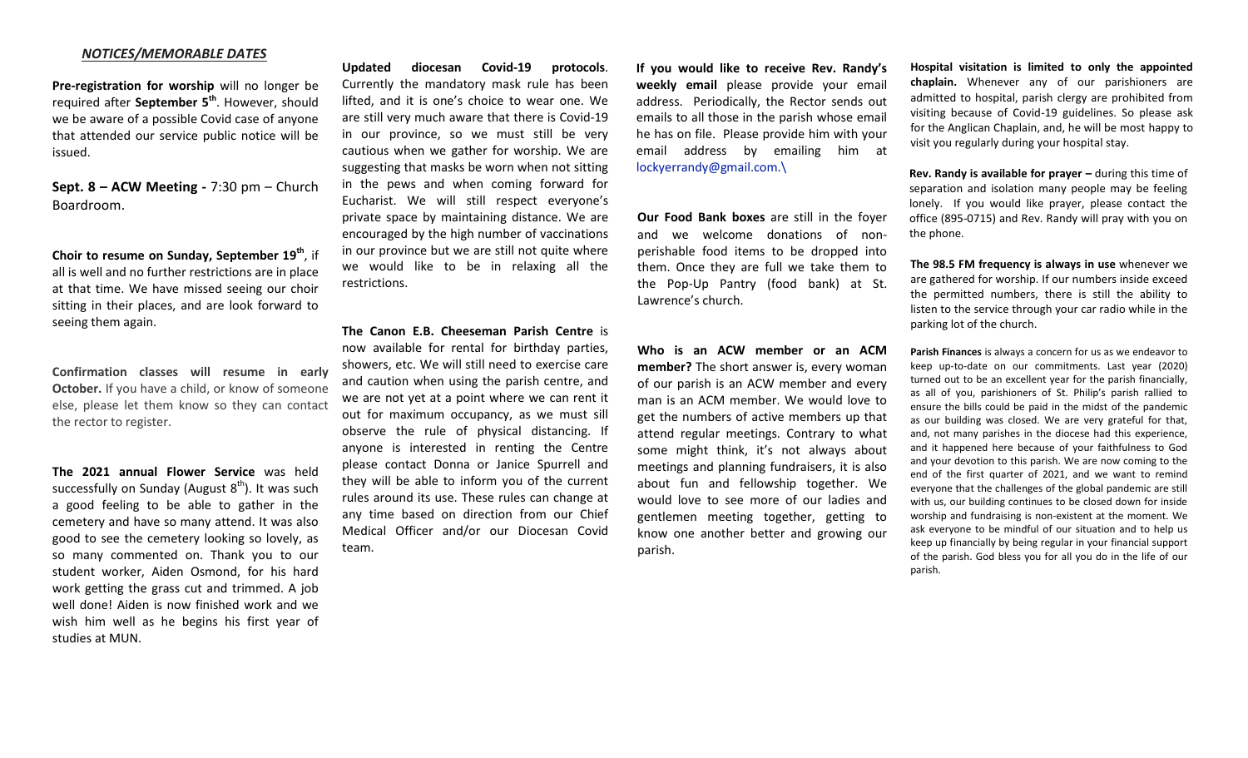#### *NOTICES/MEMORABLE DATES*

**Pre-registration for worship** will no longer be required after **September 5th**. However, should we be aware of a possible Covid case of anyone that attended our service public notice will be issued.

**Sept. 8 – ACW Meeting -** 7:30 pm – Church Boardroom.

**Choir to resume on Sunday, September 19th**, if all is well and no further restrictions are in place at that time. We have missed seeing our choir sitting in their places, and are look forward to seeing them again.

**Confirmation classes will resume in early October.** If you have a child, or know of someone else, please let them know so they can contact the rector to register.

**The 2021 annual Flower Service** was held successfully on Sunday (August  $8<sup>th</sup>$ ). It was such a good feeling to be able to gather in the cemetery and have so many attend. It was also good to see the cemetery looking so lovely, as so many commented on. Thank you to our student worker, Aiden Osmond, for his hard work getting the grass cut and trimmed. A job well done! Aiden is now finished work and we wish him well as he begins his first year of studies at MUN.

**Updated diocesan Covid-19 protocols**. Currently the mandatory mask rule has been lifted, and it is one's choice to wear one. We are still very much aware that there is Covid-19 in our province, so we must still be very cautious when we gather for worship. We are suggesting that masks be worn when not sitting in the pews and when coming forward for Eucharist. We will still respect everyone's private space by maintaining distance. We are encouraged by the high number of vaccinations in our province but we are still not quite where we would like to be in relaxing all the restrictions.

**The Canon E.B. Cheeseman Parish Centre** is now available for rental for birthday parties, showers, etc. We will still need to exercise care and caution when using the parish centre, and we are not yet at a point where we can rent it out for maximum occupancy, as we must sill observe the rule of physical distancing. If anyone is interested in renting the Centre please contact Donna or Janice Spurrell and they will be able to inform you of the current rules around its use. These rules can change at any time based on direction from our Chief Medical Officer and/or our Diocesan Covid team.

**If you would like to receive Rev. Randy's weekly email** please provide your email address. Periodically, the Rector sends out emails to all those in the parish whose email he has on file. Please provide him with your email address by emailing him at [lockyerrandy@gmail.com.\](mailto:lockyerrandy@gmail.com./)

**Our Food Bank boxes** are still in the foyer and we welcome donations of nonperishable food items to be dropped into them. Once they are full we take them to the Pop-Up Pantry (food bank) at St. Lawrence's church.

**Who is an ACW member or an ACM member?** The short answer is, every woman of our parish is an ACW member and every man is an ACM member. We would love to get the numbers of active members up that attend regular meetings. Contrary to what some might think, it's not always about meetings and planning fundraisers, it is also about fun and fellowship together. We would love to see more of our ladies and gentlemen meeting together, getting to know one another better and growing our parish.

**Hospital visitation is limited to only the appointed chaplain.** Whenever any of our parishioners are admitted to hospital, parish clergy are prohibited from visiting because of Covid-19 guidelines. So please ask for the Anglican Chaplain, and, he will be most happy to visit you regularly during your hospital stay.

**Rev. Randy is available for prayer –** during this time of separation and isolation many people may be feeling lonely. If you would like prayer, please contact the office (895-0715) and Rev. Randy will pray with you on the phone.

**The 98.5 FM frequency is always in use** whenever we are gathered for worship. If our numbers inside exceed the permitted numbers, there is still the ability to listen to the service through your car radio while in the parking lot of the church.

**Parish Finances** is always a concern for us as we endeavor to keep up-to-date on our commitments. Last year (2020) turned out to be an excellent year for the parish financially, as all of you, parishioners of St. Philip's parish rallied to ensure the bills could be paid in the midst of the pandemic as our building was closed. We are very grateful for that, and, not many parishes in the diocese had this experience, and it happened here because of your faithfulness to God and your devotion to this parish. We are now coming to the end of the first quarter of 2021, and we want to remind everyone that the challenges of the global pandemic are still with us, our building continues to be closed down for inside worship and fundraising is non-existent at the moment. We ask everyone to be mindful of our situation and to help us keep up financially by being regular in your financial support of the parish. God bless you for all you do in the life of our parish.